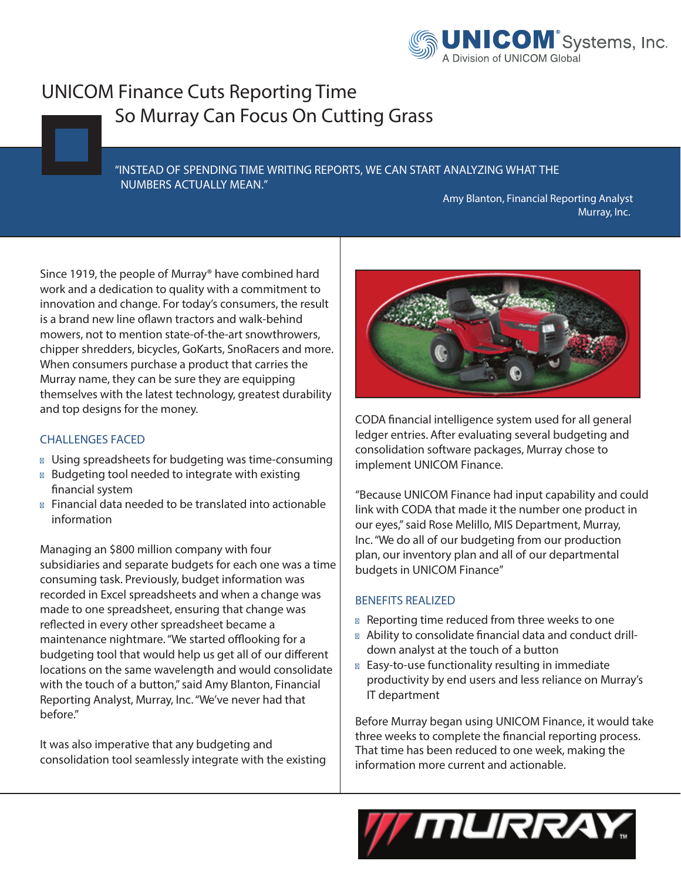

## **UNICOM Finance Cuts Reporting Time So Murray Can Focus On Cutting Grass**

## **"INSTEAD OF SPENDING TIME WRITING REPORTS, WE CAN START ANALYZING WHAT THE NUMBERS ACTUALLY MEAN."**

**Amy Blanton, Financial Reporting Analyst Murray, Inc.**

Since 1919, the people of Murray® have combined hard work and a dedication to quality with a commitment to innovation and change. For today's consumers, the result is a brand new line oflawn tractors and walk-behind mowers, not to mention state-of-the-art snowthrowers, chipper shredders, bicycles, GoKarts, SnoRacers and more. When consumers purchase a product that carries the Murray name, they can be sure they are equipping themselves with the latest technology, greatest durability and top designs for the money.

## **CHALLENGES FACED**

- Using spreadsheets for budgeting was time-consuming Budgeting tool needed to integrate with existing nancial system
- Financial data needed to be translated into actionable information

Managing an \$800 million company with four subsidiaries and separate budgets for each one was a time consuming task. Previously, budget information was recorded in Excel spreadsheets and when a change was made to one spreadsheet, ensuring that change was reflected in every other spreadsheet became a maintenance nightmare. "We started offlooking for a budgeting tool that would help us get all of our different locations on the same wavelength and would consolidate with the touch of a button," said Amy Blanton, Financial Reporting Analyst, Murray, Inc."We've never had that before."

It was also imperative that any budgeting and consolidation tool seamlessly integrate with the existing



CODA financial intelligence system used for all general ledger entries. After evaluating several budgeting and consolidation software packages, Murray chose to implement UNICOM Finance.

"Because UNICOM Finance had input capability and could link with CODA that made it the number one product in our eyes,"said Rose Melillo, MIS Department, Murray, Inc."We do all of our budgeting from our production plan, our inventory plan and all of our departmental budgets in UNICOM Finance"

## **BENEFITS REALIZED**

Reporting time reduced from three weeks to one Ability to consolidate financial data and conduct drilldown analyst at the touch of a button Easy-to-use functionality resulting in immediate productivity by end users and less reliance on Murray's IT department

Before Murray began using UNICOM Finance, it would take three weeks to complete the financial reporting process. That time has been reduced to one week, making the information more current and actionable.